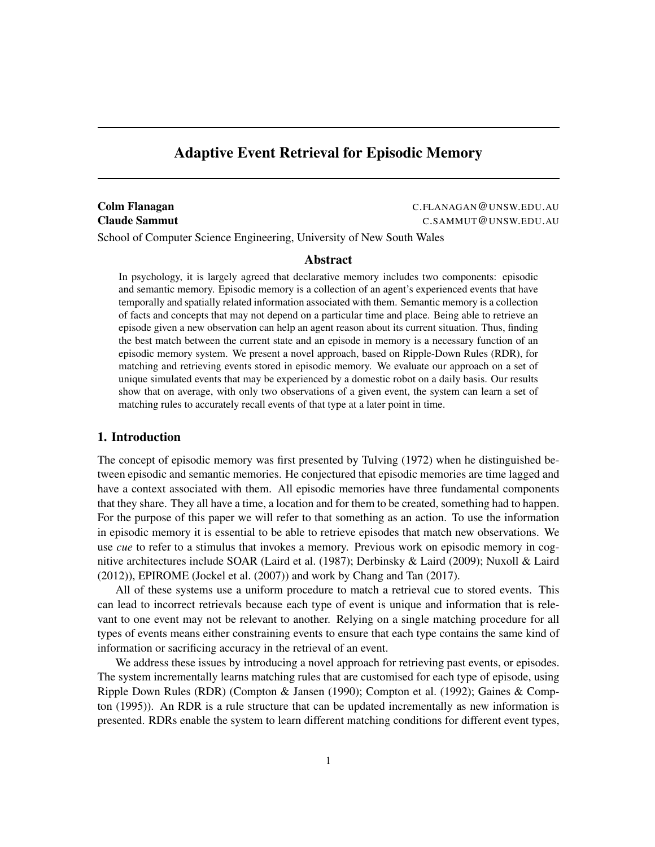# Adaptive Event Retrieval for Episodic Memory

**Colm Flanagan** C.FLANAGAN@UNSW.EDU.AU Claude Sammut C.SAMMUT@UNSW.EDU.AU

School of Computer Science Engineering, University of New South Wales

#### Abstract

In psychology, it is largely agreed that declarative memory includes two components: episodic and semantic memory. Episodic memory is a collection of an agent's experienced events that have temporally and spatially related information associated with them. Semantic memory is a collection of facts and concepts that may not depend on a particular time and place. Being able to retrieve an episode given a new observation can help an agent reason about its current situation. Thus, finding the best match between the current state and an episode in memory is a necessary function of an episodic memory system. We present a novel approach, based on Ripple-Down Rules (RDR), for matching and retrieving events stored in episodic memory. We evaluate our approach on a set of unique simulated events that may be experienced by a domestic robot on a daily basis. Our results show that on average, with only two observations of a given event, the system can learn a set of matching rules to accurately recall events of that type at a later point in time.

# 1. Introduction

The concept of episodic memory was first presented by Tulving [\(1972\)](#page-18-0) when he distinguished between episodic and semantic memories. He conjectured that episodic memories are time lagged and have a context associated with them. All episodic memories have three fundamental components that they share. They all have a time, a location and for them to be created, something had to happen. For the purpose of this paper we will refer to that something as an action. To use the information in episodic memory it is essential to be able to retrieve episodes that match new observations. We use *cue* to refer to a stimulus that invokes a memory. Previous work on episodic memory in cognitive architectures include SOAR [\(Laird et al.](#page-17-0) [\(1987\)](#page-17-0); [Derbinsky & Laird](#page-16-0) [\(2009\)](#page-16-0); [Nuxoll & Laird](#page-18-1) [\(2012\)](#page-18-1)), EPIROME [\(Jockel et al.](#page-17-1) [\(2007\)](#page-17-1)) and work by Chang and Tan [\(2017\)](#page-16-1).

All of these systems use a uniform procedure to match a retrieval cue to stored events. This can lead to incorrect retrievals because each type of event is unique and information that is relevant to one event may not be relevant to another. Relying on a single matching procedure for all types of events means either constraining events to ensure that each type contains the same kind of information or sacrificing accuracy in the retrieval of an event.

We address these issues by introducing a novel approach for retrieving past events, or episodes. The system incrementally learns matching rules that are customised for each type of episode, using Ripple Down Rules (RDR) [\(Compton & Jansen](#page-16-2) [\(1990\)](#page-16-2); [Compton et al.](#page-16-3) [\(1992\)](#page-16-3); [Gaines & Comp](#page-16-4)[ton](#page-16-4) [\(1995\)](#page-16-4)). An RDR is a rule structure that can be updated incrementally as new information is presented. RDRs enable the system to learn different matching conditions for different event types,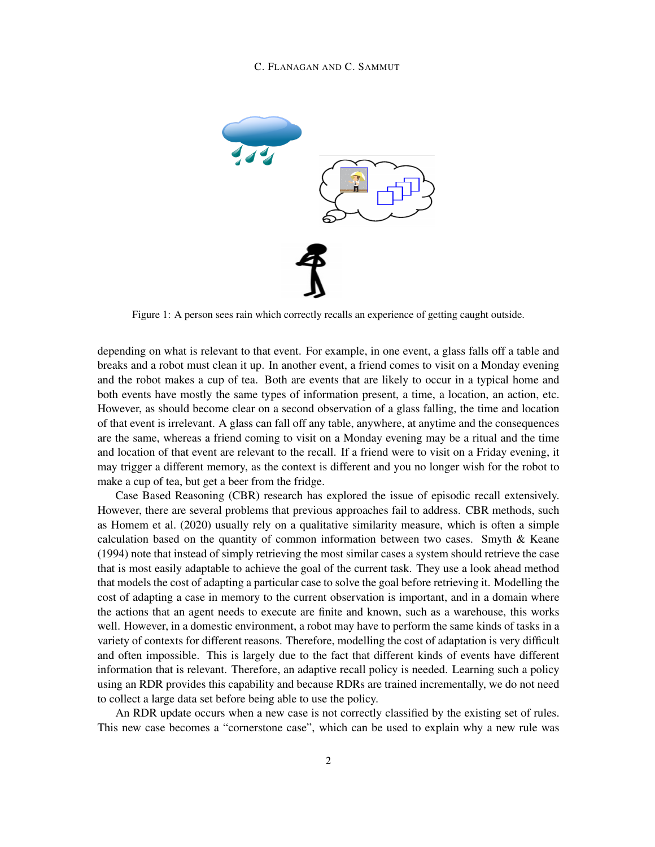#### C. FLANAGAN AND C. SAMMUT



Figure 1: A person sees rain which correctly recalls an experience of getting caught outside.

depending on what is relevant to that event. For example, in one event, a glass falls off a table and breaks and a robot must clean it up. In another event, a friend comes to visit on a Monday evening and the robot makes a cup of tea. Both are events that are likely to occur in a typical home and both events have mostly the same types of information present, a time, a location, an action, etc. However, as should become clear on a second observation of a glass falling, the time and location of that event is irrelevant. A glass can fall off any table, anywhere, at anytime and the consequences are the same, whereas a friend coming to visit on a Monday evening may be a ritual and the time and location of that event are relevant to the recall. If a friend were to visit on a Friday evening, it may trigger a different memory, as the context is different and you no longer wish for the robot to make a cup of tea, but get a beer from the fridge.

Case Based Reasoning (CBR) research has explored the issue of episodic recall extensively. However, there are several problems that previous approaches fail to address. CBR methods, such as [Homem et al.](#page-17-2) [\(2020\)](#page-17-2) usually rely on a qualitative similarity measure, which is often a simple calculation based on the quantity of common information between two cases. [Smyth & Keane](#page-18-2) [\(1994\)](#page-18-2) note that instead of simply retrieving the most similar cases a system should retrieve the case that is most easily adaptable to achieve the goal of the current task. They use a look ahead method that models the cost of adapting a particular case to solve the goal before retrieving it. Modelling the cost of adapting a case in memory to the current observation is important, and in a domain where the actions that an agent needs to execute are finite and known, such as a warehouse, this works well. However, in a domestic environment, a robot may have to perform the same kinds of tasks in a variety of contexts for different reasons. Therefore, modelling the cost of adaptation is very difficult and often impossible. This is largely due to the fact that different kinds of events have different information that is relevant. Therefore, an adaptive recall policy is needed. Learning such a policy using an RDR provides this capability and because RDRs are trained incrementally, we do not need to collect a large data set before being able to use the policy.

An RDR update occurs when a new case is not correctly classified by the existing set of rules. This new case becomes a "cornerstone case", which can be used to explain why a new rule was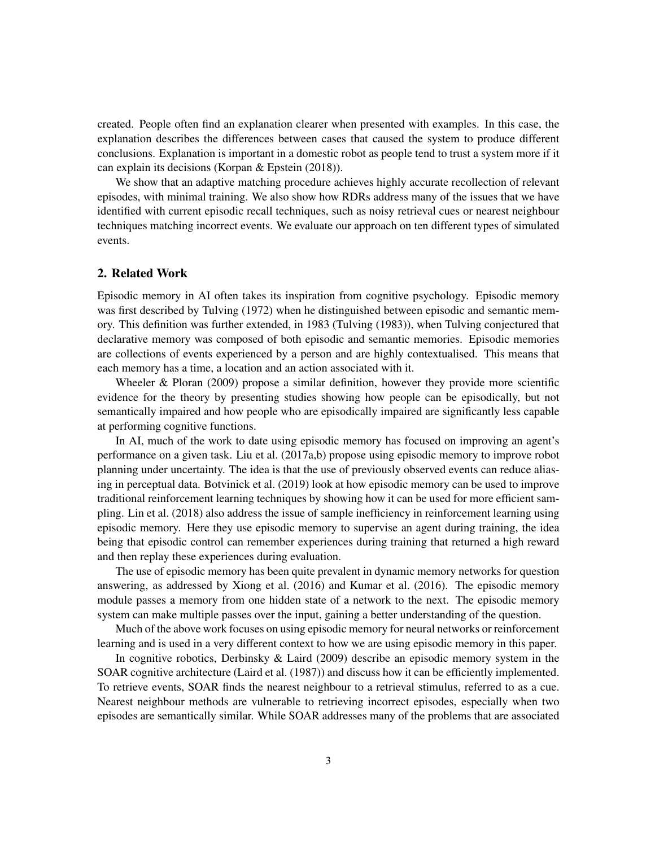created. People often find an explanation clearer when presented with examples. In this case, the explanation describes the differences between cases that caused the system to produce different conclusions. Explanation is important in a domestic robot as people tend to trust a system more if it can explain its decisions [\(Korpan & Epstein](#page-17-3) [\(2018\)](#page-17-3)).

We show that an adaptive matching procedure achieves highly accurate recollection of relevant episodes, with minimal training. We also show how RDRs address many of the issues that we have identified with current episodic recall techniques, such as noisy retrieval cues or nearest neighbour techniques matching incorrect events. We evaluate our approach on ten different types of simulated events.

# 2. Related Work

Episodic memory in AI often takes its inspiration from cognitive psychology. Episodic memory was first described by Tulving [\(1972\)](#page-18-0) when he distinguished between episodic and semantic memory. This definition was further extended, in 1983 [\(Tulving](#page-18-3) [\(1983\)](#page-18-3)), when Tulving conjectured that declarative memory was composed of both episodic and semantic memories. Episodic memories are collections of events experienced by a person and are highly contextualised. This means that each memory has a time, a location and an action associated with it.

Wheeler  $\&$  Ploran [\(2009\)](#page-18-4) propose a similar definition, however they provide more scientific evidence for the theory by presenting studies showing how people can be episodically, but not semantically impaired and how people who are episodically impaired are significantly less capable at performing cognitive functions.

In AI, much of the work to date using episodic memory has focused on improving an agent's performance on a given task. [Liu et al.](#page-17-4) [\(2017a](#page-17-4)[,b\)](#page-17-5) propose using episodic memory to improve robot planning under uncertainty. The idea is that the use of previously observed events can reduce aliasing in perceptual data. [Botvinick et al.](#page-16-5) [\(2019\)](#page-16-5) look at how episodic memory can be used to improve traditional reinforcement learning techniques by showing how it can be used for more efficient sampling. [Lin et al.](#page-17-6) [\(2018\)](#page-17-6) also address the issue of sample inefficiency in reinforcement learning using episodic memory. Here they use episodic memory to supervise an agent during training, the idea being that episodic control can remember experiences during training that returned a high reward and then replay these experiences during evaluation.

The use of episodic memory has been quite prevalent in dynamic memory networks for question answering, as addressed by [Xiong et al.](#page-18-5) [\(2016\)](#page-18-5) and [Kumar et al.](#page-17-7) [\(2016\)](#page-17-7). The episodic memory module passes a memory from one hidden state of a network to the next. The episodic memory system can make multiple passes over the input, gaining a better understanding of the question.

Much of the above work focuses on using episodic memory for neural networks or reinforcement learning and is used in a very different context to how we are using episodic memory in this paper.

In cognitive robotics, [Derbinsky & Laird](#page-16-0) [\(2009\)](#page-16-0) describe an episodic memory system in the SOAR cognitive architecture [\(Laird et al.](#page-17-0) [\(1987\)](#page-17-0)) and discuss how it can be efficiently implemented. To retrieve events, SOAR finds the nearest neighbour to a retrieval stimulus, referred to as a cue. Nearest neighbour methods are vulnerable to retrieving incorrect episodes, especially when two episodes are semantically similar. While SOAR addresses many of the problems that are associated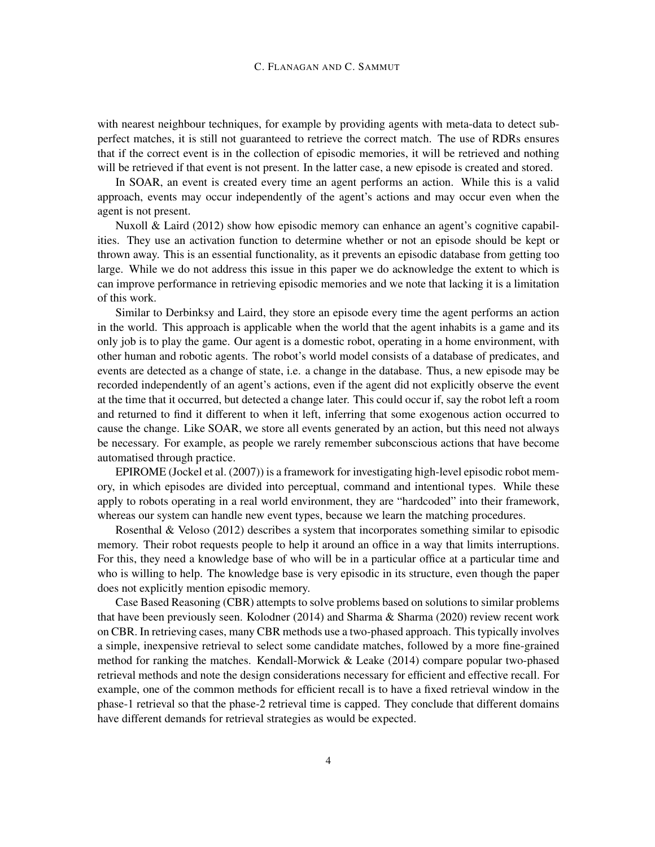#### C. FLANAGAN AND C. SAMMUT

with nearest neighbour techniques, for example by providing agents with meta-data to detect subperfect matches, it is still not guaranteed to retrieve the correct match. The use of RDRs ensures that if the correct event is in the collection of episodic memories, it will be retrieved and nothing will be retrieved if that event is not present. In the latter case, a new episode is created and stored.

In SOAR, an event is created every time an agent performs an action. While this is a valid approach, events may occur independently of the agent's actions and may occur even when the agent is not present.

[Nuxoll & Laird](#page-18-1) [\(2012\)](#page-18-1) show how episodic memory can enhance an agent's cognitive capabilities. They use an activation function to determine whether or not an episode should be kept or thrown away. This is an essential functionality, as it prevents an episodic database from getting too large. While we do not address this issue in this paper we do acknowledge the extent to which is can improve performance in retrieving episodic memories and we note that lacking it is a limitation of this work.

Similar to Derbinksy and Laird, they store an episode every time the agent performs an action in the world. This approach is applicable when the world that the agent inhabits is a game and its only job is to play the game. Our agent is a domestic robot, operating in a home environment, with other human and robotic agents. The robot's world model consists of a database of predicates, and events are detected as a change of state, i.e. a change in the database. Thus, a new episode may be recorded independently of an agent's actions, even if the agent did not explicitly observe the event at the time that it occurred, but detected a change later. This could occur if, say the robot left a room and returned to find it different to when it left, inferring that some exogenous action occurred to cause the change. Like SOAR, we store all events generated by an action, but this need not always be necessary. For example, as people we rarely remember subconscious actions that have become automatised through practice.

EPIROME [\(Jockel et al.](#page-17-1) [\(2007\)](#page-17-1)) is a framework for investigating high-level episodic robot memory, in which episodes are divided into perceptual, command and intentional types. While these apply to robots operating in a real world environment, they are "hardcoded" into their framework, whereas our system can handle new event types, because we learn the matching procedures.

[Rosenthal & Veloso](#page-18-6) [\(2012\)](#page-18-6) describes a system that incorporates something similar to episodic memory. Their robot requests people to help it around an office in a way that limits interruptions. For this, they need a knowledge base of who will be in a particular office at a particular time and who is willing to help. The knowledge base is very episodic in its structure, even though the paper does not explicitly mention episodic memory.

Case Based Reasoning (CBR) attempts to solve problems based on solutions to similar problems that have been previously seen. [Kolodner](#page-17-8) [\(2014\)](#page-17-8) and [Sharma & Sharma](#page-18-7) [\(2020\)](#page-18-7) review recent work on CBR. In retrieving cases, many CBR methods use a two-phased approach. This typically involves a simple, inexpensive retrieval to select some candidate matches, followed by a more fine-grained method for ranking the matches. [Kendall-Morwick & Leake](#page-17-9) [\(2014\)](#page-17-9) compare popular two-phased retrieval methods and note the design considerations necessary for efficient and effective recall. For example, one of the common methods for efficient recall is to have a fixed retrieval window in the phase-1 retrieval so that the phase-2 retrieval time is capped. They conclude that different domains have different demands for retrieval strategies as would be expected.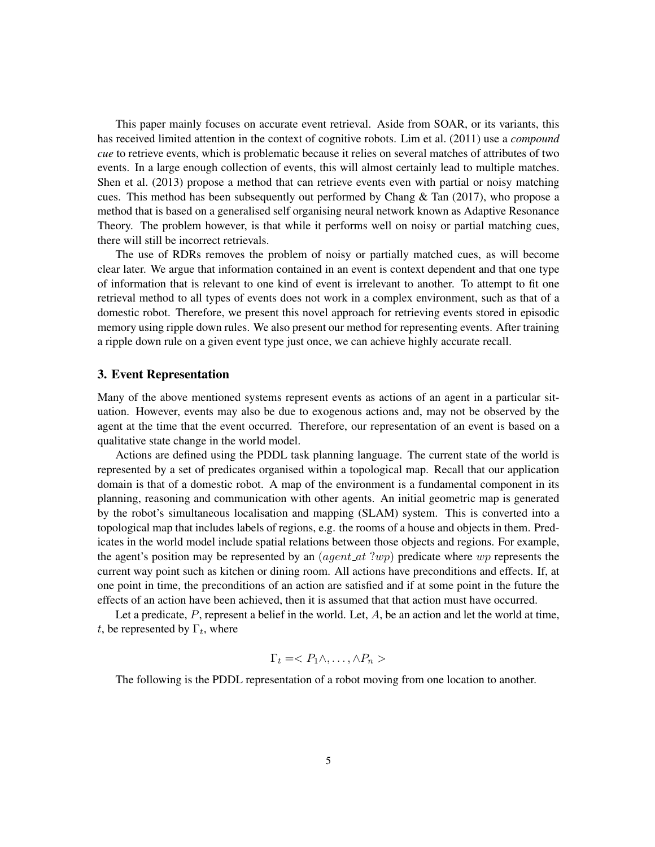This paper mainly focuses on accurate event retrieval. Aside from SOAR, or its variants, this has received limited attention in the context of cognitive robots. [Lim et al.](#page-17-10) [\(2011\)](#page-17-10) use a *compound cue* to retrieve events, which is problematic because it relies on several matches of attributes of two events. In a large enough collection of events, this will almost certainly lead to multiple matches. [Shen et al.](#page-18-8) [\(2013\)](#page-18-8) propose a method that can retrieve events even with partial or noisy matching cues. This method has been subsequently out performed by Chang  $\&$  Tan [\(2017\)](#page-16-1), who propose a method that is based on a generalised self organising neural network known as Adaptive Resonance Theory. The problem however, is that while it performs well on noisy or partial matching cues, there will still be incorrect retrievals.

The use of RDRs removes the problem of noisy or partially matched cues, as will become clear later. We argue that information contained in an event is context dependent and that one type of information that is relevant to one kind of event is irrelevant to another. To attempt to fit one retrieval method to all types of events does not work in a complex environment, such as that of a domestic robot. Therefore, we present this novel approach for retrieving events stored in episodic memory using ripple down rules. We also present our method for representing events. After training a ripple down rule on a given event type just once, we can achieve highly accurate recall.

# 3. Event Representation

Many of the above mentioned systems represent events as actions of an agent in a particular situation. However, events may also be due to exogenous actions and, may not be observed by the agent at the time that the event occurred. Therefore, our representation of an event is based on a qualitative state change in the world model.

Actions are defined using the PDDL task planning language. The current state of the world is represented by a set of predicates organised within a topological map. Recall that our application domain is that of a domestic robot. A map of the environment is a fundamental component in its planning, reasoning and communication with other agents. An initial geometric map is generated by the robot's simultaneous localisation and mapping (SLAM) system. This is converted into a topological map that includes labels of regions, e.g. the rooms of a house and objects in them. Predicates in the world model include spatial relations between those objects and regions. For example, the agent's position may be represented by an  $(agent_at ?wp)$  predicate where wp represents the current way point such as kitchen or dining room. All actions have preconditions and effects. If, at one point in time, the preconditions of an action are satisfied and if at some point in the future the effects of an action have been achieved, then it is assumed that that action must have occurred.

Let a predicate,  $P$ , represent a belief in the world. Let,  $A$ , be an action and let the world at time, t, be represented by  $\Gamma_t$ , where

$$
\Gamma_t =
$$

The following is the PDDL representation of a robot moving from one location to another.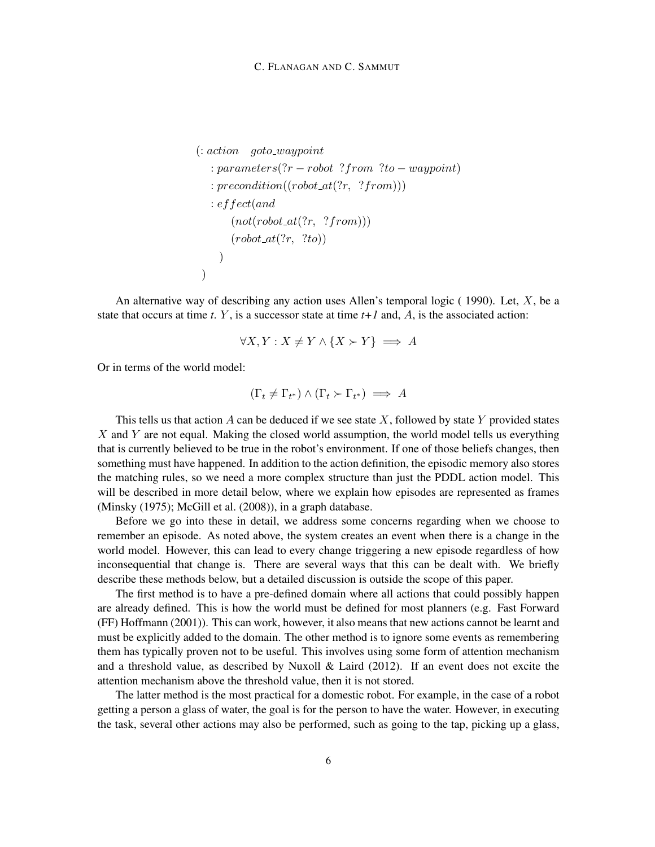```
\therefore action goto_waypoint
  : parameters(?r - robot ? from ?to -waypoint)
  : precondition((robot\_at(?r, ?from))): effect(and
      (not(robot_at(?r, ?from)))(robot\_at(?r, ?to)))
)
```
An alternative way of describing any action uses Allen's temporal logic  $(1990)$ . Let, X, be a state that occurs at time  $t$ .  $Y$ , is a successor state at time  $t+1$  and,  $A$ , is the associated action:

$$
\forall X, Y: X \neq Y \land \{X \succ Y\} \implies A
$$

Or in terms of the world model:

$$
(\Gamma_t \neq \Gamma_{t^*}) \land (\Gamma_t \succ \Gamma_{t^*}) \implies A
$$

This tells us that action A can be deduced if we see state X, followed by state Y provided states  $X$  and  $Y$  are not equal. Making the closed world assumption, the world model tells us everything that is currently believed to be true in the robot's environment. If one of those beliefs changes, then something must have happened. In addition to the action definition, the episodic memory also stores the matching rules, so we need a more complex structure than just the PDDL action model. This will be described in more detail below, where we explain how episodes are represented as frames [\(Minsky](#page-17-11) [\(1975\)](#page-17-11); [McGill et al.](#page-17-12) [\(2008\)](#page-17-12)), in a graph database.

Before we go into these in detail, we address some concerns regarding when we choose to remember an episode. As noted above, the system creates an event when there is a change in the world model. However, this can lead to every change triggering a new episode regardless of how inconsequential that change is. There are several ways that this can be dealt with. We briefly describe these methods below, but a detailed discussion is outside the scope of this paper.

The first method is to have a pre-defined domain where all actions that could possibly happen are already defined. This is how the world must be defined for most planners (e.g. Fast Forward (FF) [Hoffmann](#page-17-13) [\(2001\)](#page-17-13)). This can work, however, it also means that new actions cannot be learnt and must be explicitly added to the domain. The other method is to ignore some events as remembering them has typically proven not to be useful. This involves using some form of attention mechanism and a threshold value, as described by Nuxoll  $\&$  Laird [\(2012\)](#page-18-1). If an event does not excite the attention mechanism above the threshold value, then it is not stored.

The latter method is the most practical for a domestic robot. For example, in the case of a robot getting a person a glass of water, the goal is for the person to have the water. However, in executing the task, several other actions may also be performed, such as going to the tap, picking up a glass,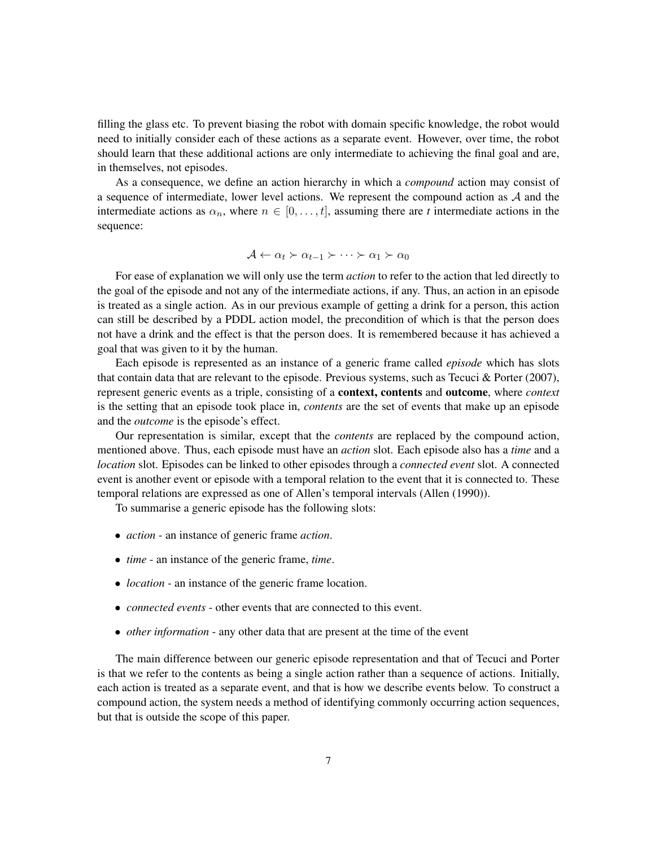filling the glass etc. To prevent biasing the robot with domain specific knowledge, the robot would need to initially consider each of these actions as a separate event. However, over time, the robot should learn that these additional actions are only intermediate to achieving the final goal and are, in themselves, not episodes.

As a consequence, we define an action hierarchy in which a *compound* action may consist of a sequence of intermediate, lower level actions. We represent the compound action as A and the intermediate actions as  $\alpha_n$ , where  $n \in [0, \ldots, t]$ , assuming there are *t* intermediate actions in the sequence:

$$
\mathcal{A} \leftarrow \alpha_t \succ \alpha_{t-1} \succ \cdots \succ \alpha_1 \succ \alpha_0
$$

For ease of explanation we will only use the term *action* to refer to the action that led directly to the goal of the episode and not any of the intermediate actions, if any. Thus, an action in an episode is treated as a single action. As in our previous example of getting a drink for a person, this action can still be described by a PDDL action model, the precondition of which is that the person does not have a drink and the effect is that the person does. It is remembered because it has achieved a goal that was given to it by the human.

Each episode is represented as an instance of a generic frame called *episode* which has slots that contain data that are relevant to the episode. Previous systems, such as [Tecuci & Porter](#page-18-9) [\(2007\)](#page-18-9), represent generic events as a triple, consisting of a context, contents and outcome, where *context* is the setting that an episode took place in, *contents* are the set of events that make up an episode and the *outcome* is the episode's effect.

Our representation is similar, except that the *contents* are replaced by the compound action, mentioned above. Thus, each episode must have an *action* slot. Each episode also has a *time* and a *location* slot. Episodes can be linked to other episodes through a *connected event* slot. A connected event is another event or episode with a temporal relation to the event that it is connected to. These temporal relations are expressed as one of Allen's temporal intervals [\(Allen](#page-16-6) [\(1990\)](#page-16-6)).

To summarise a generic episode has the following slots:

- *action* an instance of generic frame *action*.
- *time* an instance of the generic frame, *time*.
- *location* an instance of the generic frame location.
- *connected events* other events that are connected to this event.
- *other information* any other data that are present at the time of the event

The main difference between our generic episode representation and that of Tecuci and Porter is that we refer to the contents as being a single action rather than a sequence of actions. Initially, each action is treated as a separate event, and that is how we describe events below. To construct a compound action, the system needs a method of identifying commonly occurring action sequences, but that is outside the scope of this paper.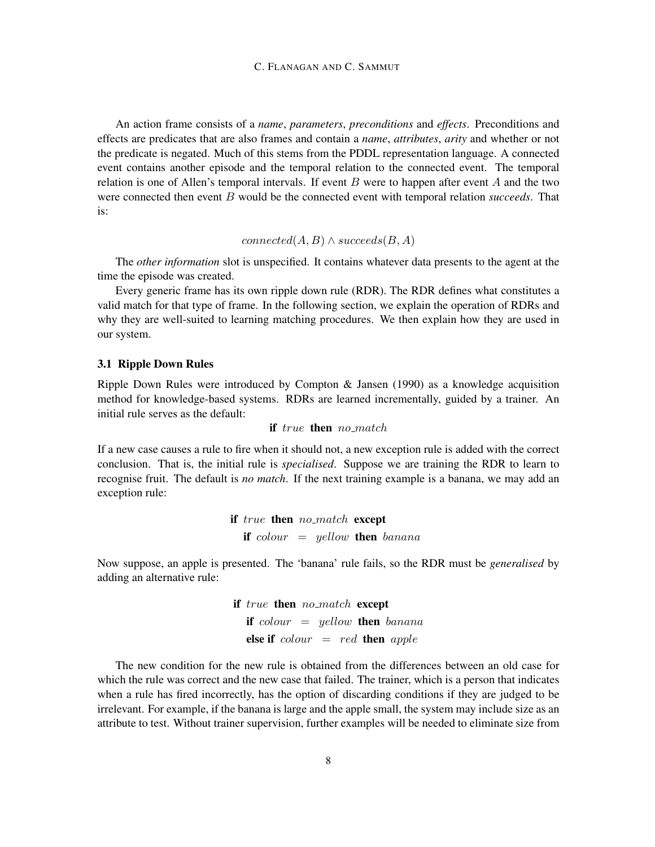An action frame consists of a *name*, *parameters*, *preconditions* and *effects*. Preconditions and effects are predicates that are also frames and contain a *name*, *attributes*, *arity* and whether or not the predicate is negated. Much of this stems from the PDDL representation language. A connected event contains another episode and the temporal relation to the connected event. The temporal relation is one of Allen's temporal intervals. If event  $B$  were to happen after event  $A$  and the two were connected then event B would be the connected event with temporal relation *succeeds*. That is:

 $connected(A, B) \wedge succeeds(B, A)$ 

The *other information* slot is unspecified. It contains whatever data presents to the agent at the time the episode was created.

Every generic frame has its own ripple down rule (RDR). The RDR defines what constitutes a valid match for that type of frame. In the following section, we explain the operation of RDRs and why they are well-suited to learning matching procedures. We then explain how they are used in our system.

# 3.1 Ripple Down Rules

Ripple Down Rules were introduced by [Compton & Jansen](#page-16-2) [\(1990\)](#page-16-2) as a knowledge acquisition method for knowledge-based systems. RDRs are learned incrementally, guided by a trainer. An initial rule serves as the default:

#### if true then no match

If a new case causes a rule to fire when it should not, a new exception rule is added with the correct conclusion. That is, the initial rule is *specialised*. Suppose we are training the RDR to learn to recognise fruit. The default is *no match*. If the next training example is a banana, we may add an exception rule:

> if true then no match except if  $colour = yellow$  then banana

Now suppose, an apple is presented. The 'banana' rule fails, so the RDR must be *generalised* by adding an alternative rule:

> if true then no match except if  $colour = yellow$  then banana else if  $colour = red$  then apple

The new condition for the new rule is obtained from the differences between an old case for which the rule was correct and the new case that failed. The trainer, which is a person that indicates when a rule has fired incorrectly, has the option of discarding conditions if they are judged to be irrelevant. For example, if the banana is large and the apple small, the system may include size as an attribute to test. Without trainer supervision, further examples will be needed to eliminate size from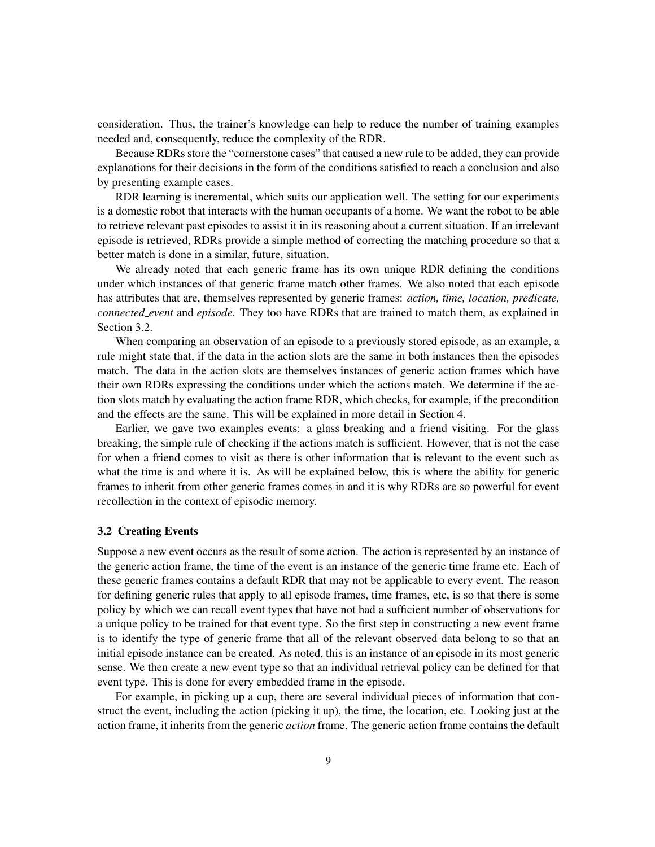consideration. Thus, the trainer's knowledge can help to reduce the number of training examples needed and, consequently, reduce the complexity of the RDR.

Because RDRs store the "cornerstone cases" that caused a new rule to be added, they can provide explanations for their decisions in the form of the conditions satisfied to reach a conclusion and also by presenting example cases.

RDR learning is incremental, which suits our application well. The setting for our experiments is a domestic robot that interacts with the human occupants of a home. We want the robot to be able to retrieve relevant past episodes to assist it in its reasoning about a current situation. If an irrelevant episode is retrieved, RDRs provide a simple method of correcting the matching procedure so that a better match is done in a similar, future, situation.

We already noted that each generic frame has its own unique RDR defining the conditions under which instances of that generic frame match other frames. We also noted that each episode has attributes that are, themselves represented by generic frames: *action, time, location, predicate, connected event* and *episode*. They too have RDRs that are trained to match them, as explained in Section [3.2.](#page-8-0)

When comparing an observation of an episode to a previously stored episode, as an example, a rule might state that, if the data in the action slots are the same in both instances then the episodes match. The data in the action slots are themselves instances of generic action frames which have their own RDRs expressing the conditions under which the actions match. We determine if the action slots match by evaluating the action frame RDR, which checks, for example, if the precondition and the effects are the same. This will be explained in more detail in Section [4.](#page-10-0)

Earlier, we gave two examples events: a glass breaking and a friend visiting. For the glass breaking, the simple rule of checking if the actions match is sufficient. However, that is not the case for when a friend comes to visit as there is other information that is relevant to the event such as what the time is and where it is. As will be explained below, this is where the ability for generic frames to inherit from other generic frames comes in and it is why RDRs are so powerful for event recollection in the context of episodic memory.

# <span id="page-8-0"></span>3.2 Creating Events

Suppose a new event occurs as the result of some action. The action is represented by an instance of the generic action frame, the time of the event is an instance of the generic time frame etc. Each of these generic frames contains a default RDR that may not be applicable to every event. The reason for defining generic rules that apply to all episode frames, time frames, etc, is so that there is some policy by which we can recall event types that have not had a sufficient number of observations for a unique policy to be trained for that event type. So the first step in constructing a new event frame is to identify the type of generic frame that all of the relevant observed data belong to so that an initial episode instance can be created. As noted, this is an instance of an episode in its most generic sense. We then create a new event type so that an individual retrieval policy can be defined for that event type. This is done for every embedded frame in the episode.

For example, in picking up a cup, there are several individual pieces of information that construct the event, including the action (picking it up), the time, the location, etc. Looking just at the action frame, it inherits from the generic *action* frame. The generic action frame contains the default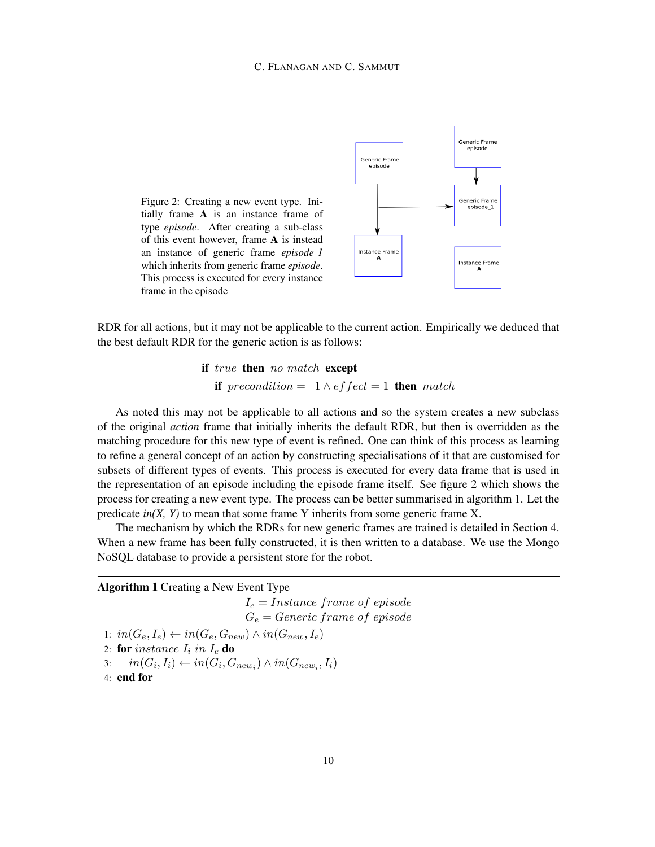## C. FLANAGAN AND C. SAMMUT

<span id="page-9-0"></span>



RDR for all actions, but it may not be applicable to the current action. Empirically we deduced that the best default RDR for the generic action is as follows:

> if true then no match except if precondition =  $1 \wedge$  effect = 1 then match

As noted this may not be applicable to all actions and so the system creates a new subclass of the original *action* frame that initially inherits the default RDR, but then is overridden as the matching procedure for this new type of event is refined. One can think of this process as learning to refine a general concept of an action by constructing specialisations of it that are customised for subsets of different types of events. This process is executed for every data frame that is used in the representation of an episode including the episode frame itself. See figure [2](#page-9-0) which shows the process for creating a new event type. The process can be better summarised in algorithm [1.](#page-9-1) Let the predicate *in(X, Y)* to mean that some frame Y inherits from some generic frame X.

The mechanism by which the RDRs for new generic frames are trained is detailed in Section [4.](#page-10-0) When a new frame has been fully constructed, it is then written to a database. We use the Mongo NoSQL database to provide a persistent store for the robot.

<span id="page-9-1"></span>

| <b>Algorithm 1</b> Creating a New Event Type                              |  |  |
|---------------------------------------------------------------------------|--|--|
| $I_e = Institute frame of episode$                                        |  |  |
| $G_e = \text{Generic frame of } \text{episode}$                           |  |  |
| 1: $in(G_e, I_e) \leftarrow in(G_e, G_{new}) \wedge in(G_{new}, I_e)$     |  |  |
| 2: for instance $I_i$ in $I_e$ do                                         |  |  |
| 3: $in(G_i, I_i) \leftarrow in(G_i, G_{new_i}) \wedge in(G_{new_i}, I_i)$ |  |  |
| $4:$ end for                                                              |  |  |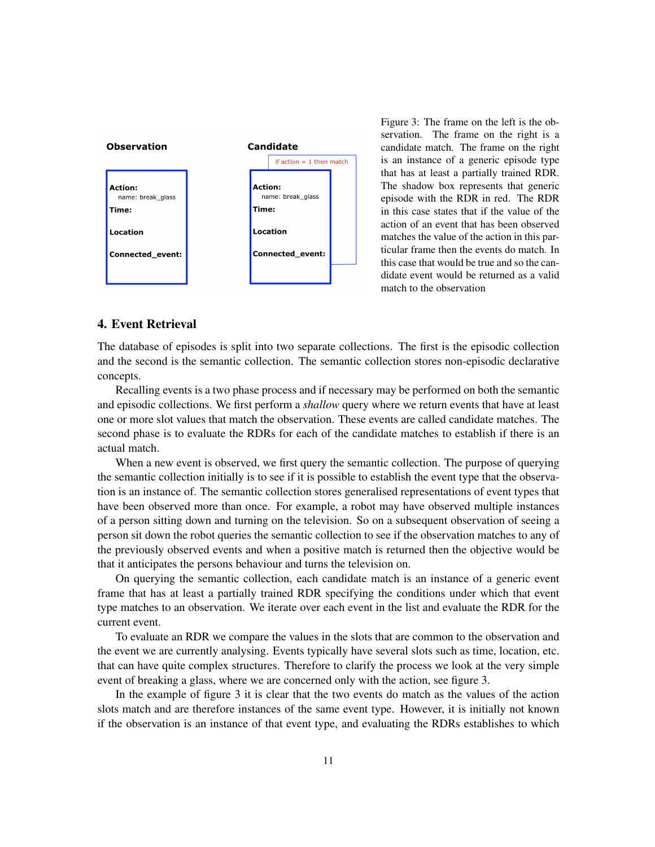<span id="page-10-1"></span>

Figure 3: The frame on the left is the observation. The frame on the right is a candidate match. The frame on the right is an instance of a generic episode type that has at least a partially trained RDR. The shadow box represents that generic episode with the RDR in red. The RDR in this case states that if the value of the action of an event that has been observed matches the value of the action in this particular frame then the events do match. In this case that would be true and so the candidate event would be returned as a valid match to the observation

# <span id="page-10-0"></span>4. Event Retrieval

The database of episodes is split into two separate collections. The first is the episodic collection and the second is the semantic collection. The semantic collection stores non-episodic declarative concepts.

Recalling events is a two phase process and if necessary may be performed on both the semantic and episodic collections. We first perform a *shallow* query where we return events that have at least one or more slot values that match the observation. These events are called candidate matches. The second phase is to evaluate the RDRs for each of the candidate matches to establish if there is an actual match.

When a new event is observed, we first query the semantic collection. The purpose of querying the semantic collection initially is to see if it is possible to establish the event type that the observation is an instance of. The semantic collection stores generalised representations of event types that have been observed more than once. For example, a robot may have observed multiple instances of a person sitting down and turning on the television. So on a subsequent observation of seeing a person sit down the robot queries the semantic collection to see if the observation matches to any of the previously observed events and when a positive match is returned then the objective would be that it anticipates the persons behaviour and turns the television on.

On querying the semantic collection, each candidate match is an instance of a generic event frame that has at least a partially trained RDR specifying the conditions under which that event type matches to an observation. We iterate over each event in the list and evaluate the RDR for the current event.

To evaluate an RDR we compare the values in the slots that are common to the observation and the event we are currently analysing. Events typically have several slots such as time, location, etc. that can have quite complex structures. Therefore to clarify the process we look at the very simple event of breaking a glass, where we are concerned only with the action, see figure [3.](#page-10-1)

In the example of figure [3](#page-10-1) it is clear that the two events do match as the values of the action slots match and are therefore instances of the same event type. However, it is initially not known if the observation is an instance of that event type, and evaluating the RDRs establishes to which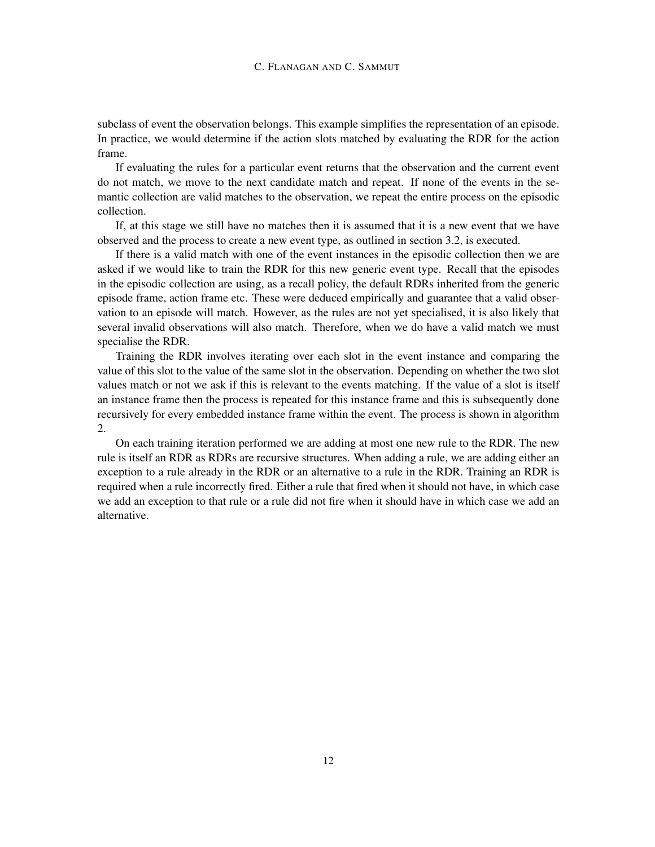subclass of event the observation belongs. This example simplifies the representation of an episode. In practice, we would determine if the action slots matched by evaluating the RDR for the action frame.

If evaluating the rules for a particular event returns that the observation and the current event do not match, we move to the next candidate match and repeat. If none of the events in the semantic collection are valid matches to the observation, we repeat the entire process on the episodic collection.

If, at this stage we still have no matches then it is assumed that it is a new event that we have observed and the process to create a new event type, as outlined in section [3.2,](#page-8-0) is executed.

If there is a valid match with one of the event instances in the episodic collection then we are asked if we would like to train the RDR for this new generic event type. Recall that the episodes in the episodic collection are using, as a recall policy, the default RDRs inherited from the generic episode frame, action frame etc. These were deduced empirically and guarantee that a valid observation to an episode will match. However, as the rules are not yet specialised, it is also likely that several invalid observations will also match. Therefore, when we do have a valid match we must specialise the RDR.

Training the RDR involves iterating over each slot in the event instance and comparing the value of this slot to the value of the same slot in the observation. Depending on whether the two slot values match or not we ask if this is relevant to the events matching. If the value of a slot is itself an instance frame then the process is repeated for this instance frame and this is subsequently done recursively for every embedded instance frame within the event. The process is shown in algorithm [2.](#page-12-0)

On each training iteration performed we are adding at most one new rule to the RDR. The new rule is itself an RDR as RDRs are recursive structures. When adding a rule, we are adding either an exception to a rule already in the RDR or an alternative to a rule in the RDR. Training an RDR is required when a rule incorrectly fired. Either a rule that fired when it should not have, in which case we add an exception to that rule or a rule did not fire when it should have in which case we add an alternative.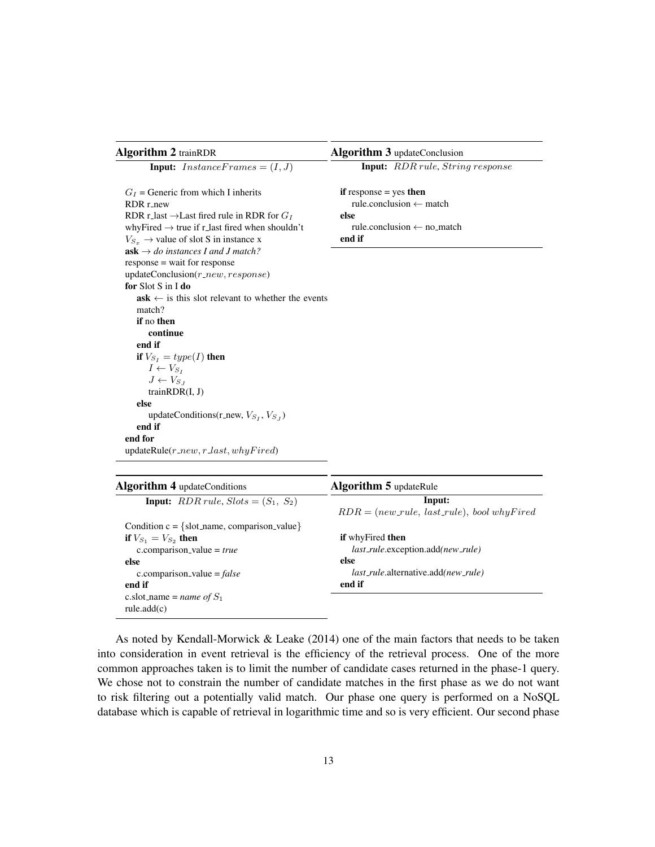<span id="page-12-0"></span>

| <b>Algorithm 2 trainRDR</b>                                  |
|--------------------------------------------------------------|
| <b>Input:</b> InstanceFrames = $(I, J)$                      |
| $G_I$ = Generic from which I inherits                        |
| $RDR$ r new                                                  |
| RDR r_last $\rightarrow$ Last fired rule in RDR for $G_I$    |
| whyFired $\rightarrow$ true if r_last fired when shouldn't   |
| $V_{S_x}$ $\rightarrow$ value of slot S in instance x        |
| $ask \rightarrow do$ instances I and J match?                |
| response = wait for response                                 |
| $updateConclusion(r_new, response)$                          |
| for Slot S in I do                                           |
| $ask \leftarrow$ is this slot relevant to whether the events |
| match?                                                       |
| if no then                                                   |
| continue                                                     |
| end if                                                       |
| if $V_{S_I} = type(I)$ then                                  |
| $I \leftarrow V_{S_I}$                                       |
| $J \leftarrow V_{S_L}$                                       |
| train $RDR(I, J)$                                            |
| else                                                         |
| updateConditions(r_new, $V_{S_I}, V_{S_J}$ )                 |
| end if                                                       |
| end for                                                      |
| $updateRule(r_new, r-last, whyFixed)$                        |

Algorithm 3 updateConclusion

Input: RDR rule, String response

if response  $=$  yes then rule.conclusion ← match else rule.conclusion ← no match end if

| <b>Algorithm 4</b> updateConditions                 | <b>Algorithm 5</b> updateRule                        |
|-----------------------------------------------------|------------------------------------------------------|
| <b>Input:</b> $RDR rule, Slots = (S_1, S_2)$        | Input:                                               |
|                                                     | $RDR = (new-rule, last-rule), bool why Fried$        |
| Condition $c = \{$ slot_name, comparison_value $\}$ |                                                      |
| <b>if</b> $V_{S_1} = V_{S_2}$ then                  | <b>if</b> why Fired <b>then</b>                      |
| c.comparison_value = $true$                         | <i>last_rule.exception.add(new_rule)</i>             |
| else                                                | else                                                 |
| c.comparison_value = $false$                        | <i>last_rule</i> .alternative.add( <i>new_rule</i> ) |
| end if                                              | end if                                               |
| c.slot_name = <i>name of</i> $S_1$                  |                                                      |
| rule.add(c)                                         |                                                      |
|                                                     |                                                      |

As noted by Kendall-Morwick  $&$  Leake [\(2014\)](#page-17-9) one of the main factors that needs to be taken into consideration in event retrieval is the efficiency of the retrieval process. One of the more common approaches taken is to limit the number of candidate cases returned in the phase-1 query. We chose not to constrain the number of candidate matches in the first phase as we do not want to risk filtering out a potentially valid match. Our phase one query is performed on a NoSQL database which is capable of retrieval in logarithmic time and so is very efficient. Our second phase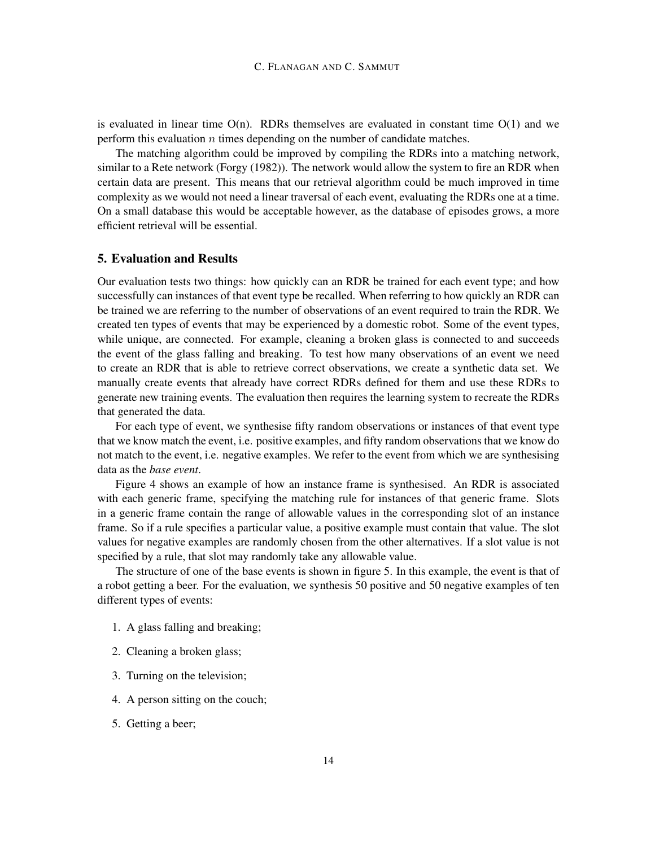is evaluated in linear time  $O(n)$ . RDRs themselves are evaluated in constant time  $O(1)$  and we perform this evaluation  $n$  times depending on the number of candidate matches.

The matching algorithm could be improved by compiling the RDRs into a matching network, similar to a Rete network [\(Forgy](#page-16-7) [\(1982\)](#page-16-7)). The network would allow the system to fire an RDR when certain data are present. This means that our retrieval algorithm could be much improved in time complexity as we would not need a linear traversal of each event, evaluating the RDRs one at a time. On a small database this would be acceptable however, as the database of episodes grows, a more efficient retrieval will be essential.

# 5. Evaluation and Results

Our evaluation tests two things: how quickly can an RDR be trained for each event type; and how successfully can instances of that event type be recalled. When referring to how quickly an RDR can be trained we are referring to the number of observations of an event required to train the RDR. We created ten types of events that may be experienced by a domestic robot. Some of the event types, while unique, are connected. For example, cleaning a broken glass is connected to and succeeds the event of the glass falling and breaking. To test how many observations of an event we need to create an RDR that is able to retrieve correct observations, we create a synthetic data set. We manually create events that already have correct RDRs defined for them and use these RDRs to generate new training events. The evaluation then requires the learning system to recreate the RDRs that generated the data.

For each type of event, we synthesise fifty random observations or instances of that event type that we know match the event, i.e. positive examples, and fifty random observations that we know do not match to the event, i.e. negative examples. We refer to the event from which we are synthesising data as the *base event*.

Figure [4](#page-14-0) shows an example of how an instance frame is synthesised. An RDR is associated with each generic frame, specifying the matching rule for instances of that generic frame. Slots in a generic frame contain the range of allowable values in the corresponding slot of an instance frame. So if a rule specifies a particular value, a positive example must contain that value. The slot values for negative examples are randomly chosen from the other alternatives. If a slot value is not specified by a rule, that slot may randomly take any allowable value.

The structure of one of the base events is shown in figure [5.](#page-14-1) In this example, the event is that of a robot getting a beer. For the evaluation, we synthesis 50 positive and 50 negative examples of ten different types of events:

- 1. A glass falling and breaking;
- 2. Cleaning a broken glass;
- 3. Turning on the television;
- 4. A person sitting on the couch;
- 5. Getting a beer;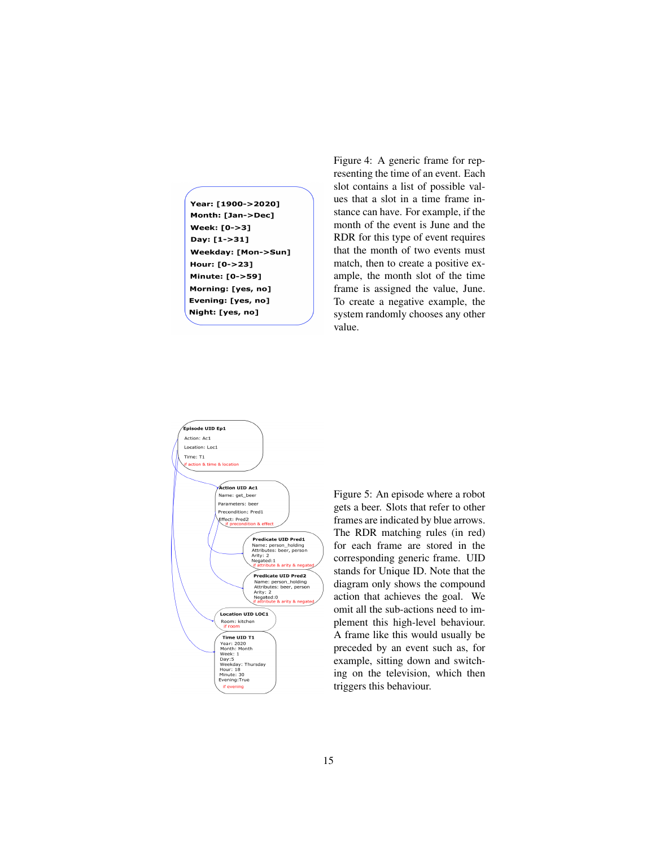<span id="page-14-0"></span>Year: [1900->2020] Month: [Jan->Dec] **Week: [0->3]** Day: [1->31] Weekday: [Mon->Sun] Hour: [0->23] Minute: [0->59] Morning: [yes, no] Evening: [yes, no] Night: [yes, no]

Figure 4: A generic frame for representing the time of an event. Each slot contains a list of possible values that a slot in a time frame instance can have. For example, if the month of the event is June and the RDR for this type of event requires that the month of two events must match, then to create a positive example, the month slot of the time frame is assigned the value, June. To create a negative example, the system randomly chooses any other value.

<span id="page-14-1"></span>

Figure 5: An episode where a robot gets a beer. Slots that refer to other frames are indicated by blue arrows. The RDR matching rules (in red) for each frame are stored in the corresponding generic frame. UID stands for Unique ID. Note that the diagram only shows the compound action that achieves the goal. We omit all the sub-actions need to implement this high-level behaviour. A frame like this would usually be preceded by an event such as, for example, sitting down and switching on the television, which then triggers this behaviour.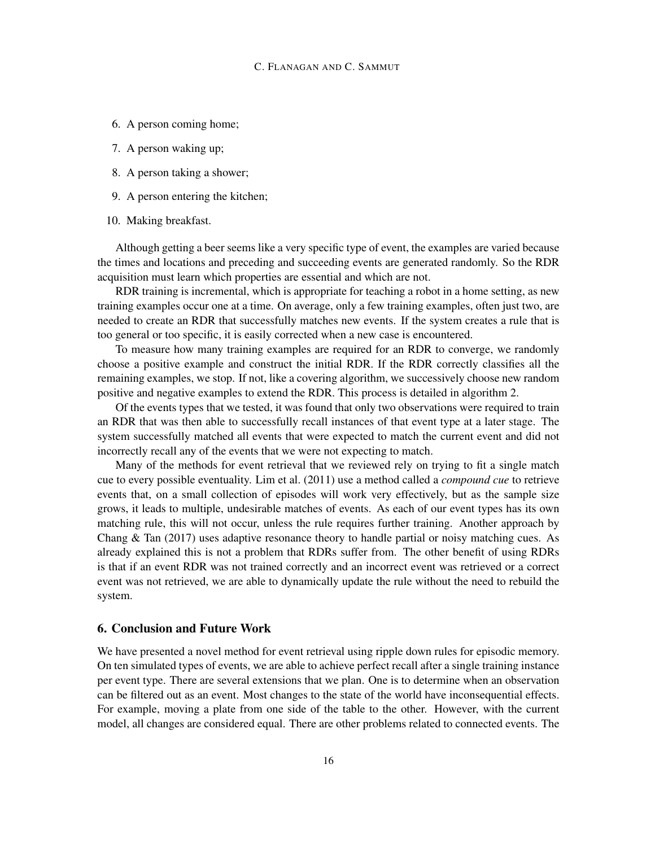- 6. A person coming home;
- 7. A person waking up;
- 8. A person taking a shower;
- 9. A person entering the kitchen;
- 10. Making breakfast.

Although getting a beer seems like a very specific type of event, the examples are varied because the times and locations and preceding and succeeding events are generated randomly. So the RDR acquisition must learn which properties are essential and which are not.

RDR training is incremental, which is appropriate for teaching a robot in a home setting, as new training examples occur one at a time. On average, only a few training examples, often just two, are needed to create an RDR that successfully matches new events. If the system creates a rule that is too general or too specific, it is easily corrected when a new case is encountered.

To measure how many training examples are required for an RDR to converge, we randomly choose a positive example and construct the initial RDR. If the RDR correctly classifies all the remaining examples, we stop. If not, like a covering algorithm, we successively choose new random positive and negative examples to extend the RDR. This process is detailed in algorithm [2.](#page-12-0)

Of the events types that we tested, it was found that only two observations were required to train an RDR that was then able to successfully recall instances of that event type at a later stage. The system successfully matched all events that were expected to match the current event and did not incorrectly recall any of the events that we were not expecting to match.

Many of the methods for event retrieval that we reviewed rely on trying to fit a single match cue to every possible eventuality. [Lim et al.](#page-17-10) [\(2011\)](#page-17-10) use a method called a *compound cue* to retrieve events that, on a small collection of episodes will work very effectively, but as the sample size grows, it leads to multiple, undesirable matches of events. As each of our event types has its own matching rule, this will not occur, unless the rule requires further training. Another approach by [Chang & Tan](#page-16-1) [\(2017\)](#page-16-1) uses adaptive resonance theory to handle partial or noisy matching cues. As already explained this is not a problem that RDRs suffer from. The other benefit of using RDRs is that if an event RDR was not trained correctly and an incorrect event was retrieved or a correct event was not retrieved, we are able to dynamically update the rule without the need to rebuild the system.

# 6. Conclusion and Future Work

We have presented a novel method for event retrieval using ripple down rules for episodic memory. On ten simulated types of events, we are able to achieve perfect recall after a single training instance per event type. There are several extensions that we plan. One is to determine when an observation can be filtered out as an event. Most changes to the state of the world have inconsequential effects. For example, moving a plate from one side of the table to the other. However, with the current model, all changes are considered equal. There are other problems related to connected events. The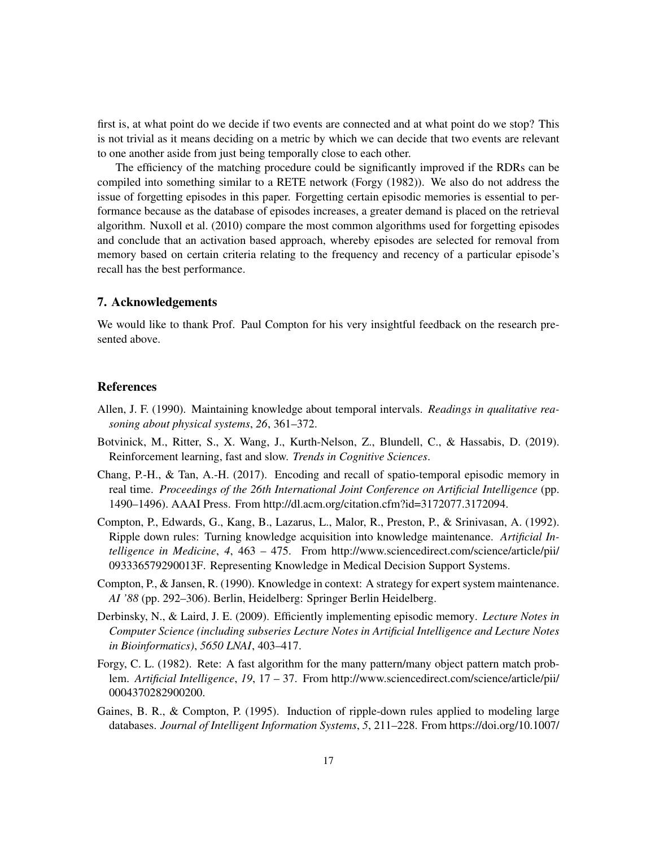first is, at what point do we decide if two events are connected and at what point do we stop? This is not trivial as it means deciding on a metric by which we can decide that two events are relevant to one another aside from just being temporally close to each other.

The efficiency of the matching procedure could be significantly improved if the RDRs can be compiled into something similar to a RETE network [\(Forgy](#page-16-7) [\(1982\)](#page-16-7)). We also do not address the issue of forgetting episodes in this paper. Forgetting certain episodic memories is essential to performance because as the database of episodes increases, a greater demand is placed on the retrieval algorithm. [Nuxoll et al.](#page-18-10) [\(2010\)](#page-18-10) compare the most common algorithms used for forgetting episodes and conclude that an activation based approach, whereby episodes are selected for removal from memory based on certain criteria relating to the frequency and recency of a particular episode's recall has the best performance.

# 7. Acknowledgements

We would like to thank Prof. Paul Compton for his very insightful feedback on the research presented above.

#### References

- <span id="page-16-6"></span>Allen, J. F. (1990). Maintaining knowledge about temporal intervals. *Readings in qualitative reasoning about physical systems*, *26*, 361–372.
- <span id="page-16-5"></span>Botvinick, M., Ritter, S., X. Wang, J., Kurth-Nelson, Z., Blundell, C., & Hassabis, D. (2019). Reinforcement learning, fast and slow. *Trends in Cognitive Sciences*.
- <span id="page-16-1"></span>Chang, P.-H., & Tan, A.-H. (2017). Encoding and recall of spatio-temporal episodic memory in real time. *Proceedings of the 26th International Joint Conference on Artificial Intelligence* (pp. 1490–1496). AAAI Press. From [http://dl.acm.org/citation.cfm?id=3172077.3172094.](http://dl.acm.org/citation.cfm?id=3172077.3172094)
- <span id="page-16-3"></span>Compton, P., Edwards, G., Kang, B., Lazarus, L., Malor, R., Preston, P., & Srinivasan, A. (1992). Ripple down rules: Turning knowledge acquisition into knowledge maintenance. *Artificial Intelligence in Medicine*, *4*, 463 – 475. From [http://www.sciencedirect.com/science/article/pii/](http://www.sciencedirect.com/science/article/pii/093336579290013F) [093336579290013F.](http://www.sciencedirect.com/science/article/pii/093336579290013F) Representing Knowledge in Medical Decision Support Systems.
- <span id="page-16-2"></span>Compton, P., & Jansen, R. (1990). Knowledge in context: A strategy for expert system maintenance. *AI '88* (pp. 292–306). Berlin, Heidelberg: Springer Berlin Heidelberg.
- <span id="page-16-0"></span>Derbinsky, N., & Laird, J. E. (2009). Efficiently implementing episodic memory. *Lecture Notes in Computer Science (including subseries Lecture Notes in Artificial Intelligence and Lecture Notes in Bioinformatics)*, *5650 LNAI*, 403–417.
- <span id="page-16-7"></span>Forgy, C. L. (1982). Rete: A fast algorithm for the many pattern/many object pattern match problem. *Artificial Intelligence*, *19*, 17 – 37. From [http://www.sciencedirect.com/science/article/pii/](http://www.sciencedirect.com/science/article/pii/0004370282900200) [0004370282900200.](http://www.sciencedirect.com/science/article/pii/0004370282900200)
- <span id="page-16-4"></span>Gaines, B. R., & Compton, P. (1995). Induction of ripple-down rules applied to modeling large databases. *Journal of Intelligent Information Systems*, *5*, 211–228. From [https://doi.org/10.1007/](https://doi.org/10.1007/BF00962234)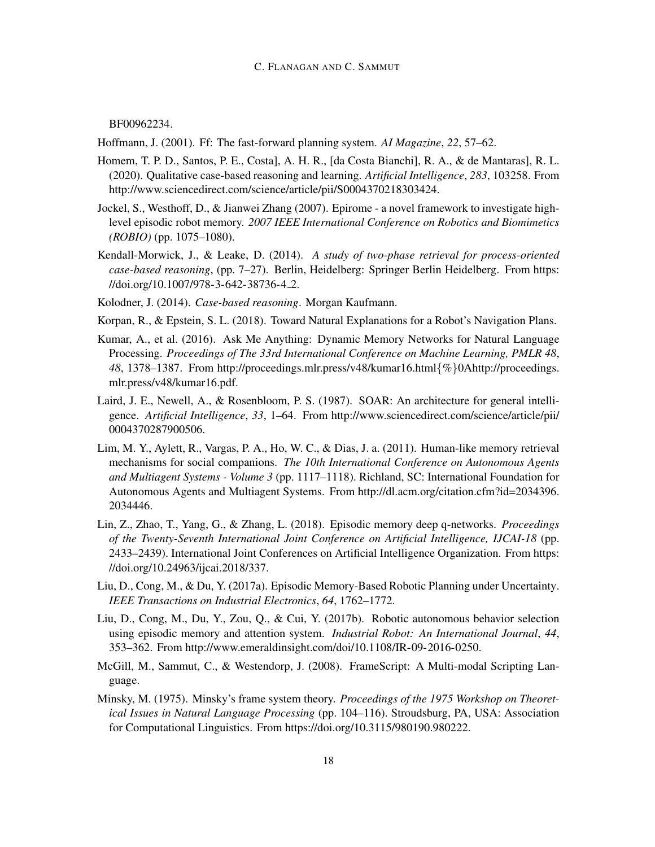[BF00962234.](https://doi.org/10.1007/BF00962234)

<span id="page-17-13"></span>Hoffmann, J. (2001). Ff: The fast-forward planning system. *AI Magazine*, *22*, 57–62.

- <span id="page-17-2"></span>Homem, T. P. D., Santos, P. E., Costa], A. H. R., [da Costa Bianchi], R. A., & de Mantaras], R. L. (2020). Qualitative case-based reasoning and learning. *Artificial Intelligence*, *283*, 103258. From [http://www.sciencedirect.com/science/article/pii/S0004370218303424.](http://www.sciencedirect.com/science/article/pii/S0004370218303424)
- <span id="page-17-1"></span>Jockel, S., Westhoff, D., & Jianwei Zhang (2007). Epirome - a novel framework to investigate highlevel episodic robot memory. *2007 IEEE International Conference on Robotics and Biomimetics (ROBIO)* (pp. 1075–1080).
- <span id="page-17-9"></span>Kendall-Morwick, J., & Leake, D. (2014). *A study of two-phase retrieval for process-oriented case-based reasoning*, (pp. 7–27). Berlin, Heidelberg: Springer Berlin Heidelberg. From [https:](https://doi.org/10.1007/978-3-642-38736-4_2) [//doi.org/10.1007/978-3-642-38736-4](https://doi.org/10.1007/978-3-642-38736-4_2) 2.
- <span id="page-17-8"></span>Kolodner, J. (2014). *Case-based reasoning*. Morgan Kaufmann.
- <span id="page-17-3"></span>Korpan, R., & Epstein, S. L. (2018). Toward Natural Explanations for a Robot's Navigation Plans.
- <span id="page-17-7"></span>Kumar, A., et al. (2016). Ask Me Anything: Dynamic Memory Networks for Natural Language Processing. *Proceedings of The 33rd International Conference on Machine Learning, PMLR 48*, *48*, 1378–1387. From [http://proceedings.mlr.press/v48/kumar16.html](http://proceedings.mlr.press/v48/kumar16.html{%}0Ahttp://proceedings.mlr.press/v48/kumar16.pdf){%}0Ahttp://proceedings. [mlr.press/v48/kumar16.pdf.](http://proceedings.mlr.press/v48/kumar16.html{%}0Ahttp://proceedings.mlr.press/v48/kumar16.pdf)
- <span id="page-17-0"></span>Laird, J. E., Newell, A., & Rosenbloom, P. S. (1987). SOAR: An architecture for general intelligence. *Artificial Intelligence*, *33*, 1–64. From [http://www.sciencedirect.com/science/article/pii/](http://www.sciencedirect.com/science/article/pii/0004370287900506) [0004370287900506.](http://www.sciencedirect.com/science/article/pii/0004370287900506)
- <span id="page-17-10"></span>Lim, M. Y., Aylett, R., Vargas, P. A., Ho, W. C., & Dias, J. a. (2011). Human-like memory retrieval mechanisms for social companions. *The 10th International Conference on Autonomous Agents and Multiagent Systems - Volume 3* (pp. 1117–1118). Richland, SC: International Foundation for Autonomous Agents and Multiagent Systems. From [http://dl.acm.org/citation.cfm?id=2034396.](http://dl.acm.org/citation.cfm?id=2034396.2034446) [2034446.](http://dl.acm.org/citation.cfm?id=2034396.2034446)
- <span id="page-17-6"></span>Lin, Z., Zhao, T., Yang, G., & Zhang, L. (2018). Episodic memory deep q-networks. *Proceedings of the Twenty-Seventh International Joint Conference on Artificial Intelligence, IJCAI-18* (pp. 2433–2439). International Joint Conferences on Artificial Intelligence Organization. From [https:](https://doi.org/10.24963/ijcai.2018/337) [//doi.org/10.24963/ijcai.2018/337.](https://doi.org/10.24963/ijcai.2018/337)
- <span id="page-17-4"></span>Liu, D., Cong, M., & Du, Y. (2017a). Episodic Memory-Based Robotic Planning under Uncertainty. *IEEE Transactions on Industrial Electronics*, *64*, 1762–1772.
- <span id="page-17-5"></span>Liu, D., Cong, M., Du, Y., Zou, Q., & Cui, Y. (2017b). Robotic autonomous behavior selection using episodic memory and attention system. *Industrial Robot: An International Journal*, *44*, 353–362. From [http://www.emeraldinsight.com/doi/10.1108/IR-09-2016-0250.](http://www.emeraldinsight.com/doi/10.1108/IR-09-2016-0250)
- <span id="page-17-12"></span>McGill, M., Sammut, C., & Westendorp, J. (2008). FrameScript: A Multi-modal Scripting Language.
- <span id="page-17-11"></span>Minsky, M. (1975). Minsky's frame system theory. *Proceedings of the 1975 Workshop on Theoretical Issues in Natural Language Processing* (pp. 104–116). Stroudsburg, PA, USA: Association for Computational Linguistics. From [https://doi.org/10.3115/980190.980222.](https://doi.org/10.3115/980190.980222)